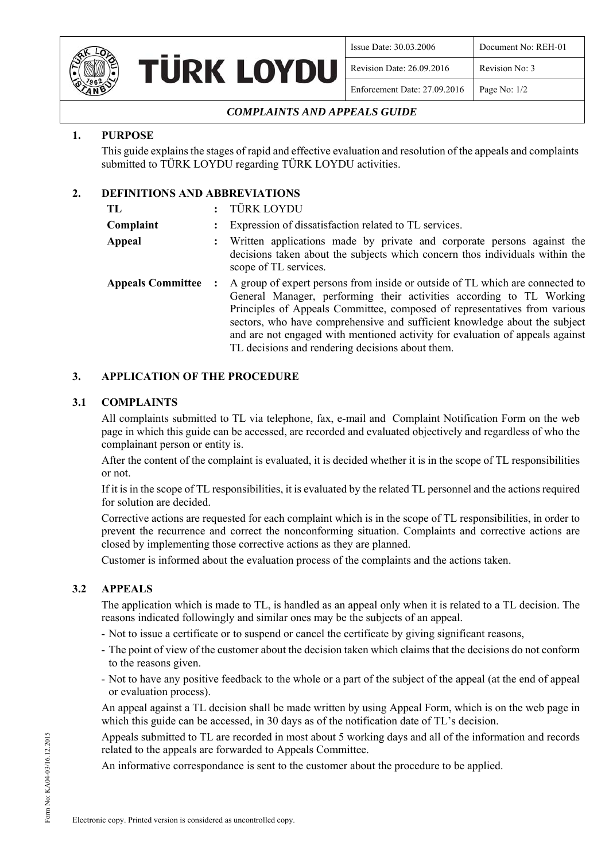

| <b>URK LOYDU</b> |  |
|------------------|--|
|                  |  |

| Issue Date: 30.03.2006       | Document No: REH-01 |
|------------------------------|---------------------|
| Revision Date: 26.09.2016    | Revision No: 3      |
| Enforcement Date: 27.09.2016 | Page No: 1/2        |

# *COMPLAINTS AND APPEALS GUIDE*

# **1. PURPOSE**

This guide explains the stages of rapid and effective evaluation and resolution of the appeals and complaints submitted to TÜRK LOYDU regarding TÜRK LOYDU activities.

# **2. DEFINITIONS AND ABBREVIATIONS**

| TL                       | TÜRK LOYDU                                                                                                                                                                                                                                                                                                                                                                                                                                            |  |
|--------------------------|-------------------------------------------------------------------------------------------------------------------------------------------------------------------------------------------------------------------------------------------------------------------------------------------------------------------------------------------------------------------------------------------------------------------------------------------------------|--|
| Complaint                | Expression of dissatisfaction related to TL services.                                                                                                                                                                                                                                                                                                                                                                                                 |  |
| Appeal                   | Written applications made by private and corporate persons against the<br>decisions taken about the subjects which concern thos individuals within the<br>scope of TL services.                                                                                                                                                                                                                                                                       |  |
| <b>Appeals Committee</b> | A group of expert persons from inside or outside of TL which are connected to<br>General Manager, performing their activities according to TL Working<br>Principles of Appeals Committee, composed of representatives from various<br>sectors, who have comprehensive and sufficient knowledge about the subject<br>and are not engaged with mentioned activity for evaluation of appeals against<br>TL decisions and rendering decisions about them. |  |

### **3. APPLICATION OF THE PROCEDURE**

#### **3.1 COMPLAINTS**

All complaints submitted to TL via telephone, fax, e-mail and Complaint Notification Form on the web page in which this guide can be accessed, are recorded and evaluated objectively and regardless of who the complainant person or entity is.

After the content of the complaint is evaluated, it is decided whether it is in the scope of TL responsibilities or not.

If it is in the scope of TL responsibilities, it is evaluated by the related TL personnel and the actions required for solution are decided.

Corrective actions are requested for each complaint which is in the scope of TL responsibilities, in order to prevent the recurrence and correct the nonconforming situation. Complaints and corrective actions are closed by implementing those corrective actions as they are planned.

Customer is informed about the evaluation process of the complaints and the actions taken.

### **3.2 APPEALS**

The application which is made to TL, is handled as an appeal only when it is related to a TL decision. The reasons indicated followingly and similar ones may be the subjects of an appeal.

- Not to issue a certificate or to suspend or cancel the certificate by giving significant reasons,
- The point of view of the customer about the decision taken which claims that the decisions do not conform to the reasons given.
- Not to have any positive feedback to the whole or a part of the subject of the appeal (at the end of appeal or evaluation process).

An appeal against a TL decision shall be made written by using Appeal Form, which is on the web page in which this guide can be accessed, in 30 days as of the notification date of TL's decision.

Appeals submitted to TL are recorded in most about 5 working days and all of the information and records related to the appeals are forwarded to Appeals Committee.

An informative correspondance is sent to the customer about the procedure to be applied.